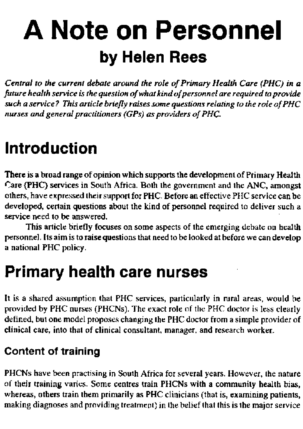# **A Note on Personnel by Helen Rees**

*Central to the current debate around the role of Primary Health Care (PHC) in a future health service is the question of what kind of personnel are required to provide such a service ? This article briefly raises some questions relating to the rote of PHC nurses and general practitioners (GPs) as providers of PHC.* 

## **Introduction**

There is a broad range of opinion which supports the development of Primary Health Care (PHC) services in South Africa. Both the government and the ANC, amongst others, have expressed their support for PHC. Before an effective PHC service can be developed, certain questions about the kind of personnel required to deliver such a service need to be answered.

This article briefly focuses on some aspects of the emerging debate on health personnel. Its aim is to raise questions that need to be looked at before we can develop a national PHC policy.

## **Primary health care nurses**

It is a shared assumption that PHC services, particularly in rural areas, would be provided by PHC nurses (PHCNs). The exact role of the PHC doctor is less clearly defined, but one model proposes changing the PHC doctor from a simple provider of clinical care, into that of clinical consultant, manager, and research worker.

#### **Content of training**

PHCNs have been practising in South Africa for several years. However, the nature of their training varies. Some centres train PHCNs with a community health bias, whereas, others train them primarily as PHC clinicians (that is, examining patients, making diagnoses and providing treatment) in the belief that this is the major service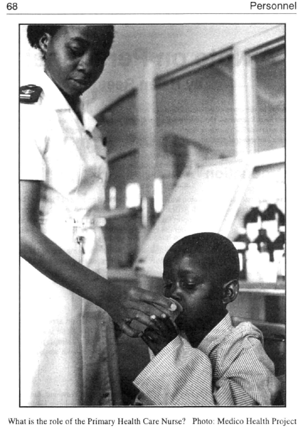

What is the role of the Primary Health Care Nurse? Photo: Medico Health Project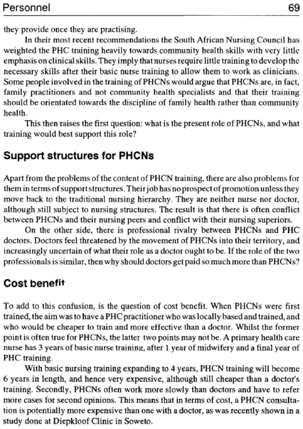they provide once they are practising.

In their most recent recommendations the South African Nursing Council has weighted the PHC training heavily towards community health skills with very little emphasis on clinical skills. They imply that nurses require little training to develop the necessary skills after their basic nurse training to allow them to work as clinicians. Some people involved in the training of PHCNs would argue that PHCNs are, in fact, family practitioners and not community health specialists and that their training should be orientated towards the discipline of family health rather than community health.

This then raises the first question: what is the present role of PHCNs, and what training would best support this role?

#### **Support structures for PHCNs**

Apart from the problems of the content of PHCN training, there arc also problems for them in terms of support structures. Their job has no prospect of promotion unless they move back to the traditional nursing hierarchy. They are neither nurse nor doctor, although still subject to nursing structures. The result is that there is often conflict between PHCNs and their nursing peers and conflict with their nursing superiors.

On the other side, there is professional rivalry between PHCNs and PHC doctors. Doctors feel threatened by the movement of PHCNs into their territory, and increasingly uncertain of what their role as a doctor ought to be. If the role of the two professionals is similar, then why should doctors get paid so much more than PHCNs?

#### **Cost benefit**

To add to this confusion, is the question of cost benefit. When PHCNs were first trained, the aim was to have a PHC practitioner who was locally based and trained, and who would be cheaper to train and more effective than a doctor. Whilst the former point is often true for PHCNs, the latter two points may not be. A primary health care nurse has 3 years of basic nurse training, after 1 year of midwifery and a final year of PHC training.

With basic nursing training expanding to 4 years, PHCN training will become 6 years in length, and hence very expensive, although still cheaper than a doctor's training. Secondly, PHCNs often work more slowly than doctors and have to refer more cases for second opinions. This means that in terms of cosi, a PHCN consultation is potentially more expensive than one with a doctor, as was recently shown in a study done at Dicpkloof Clinic in Soweto.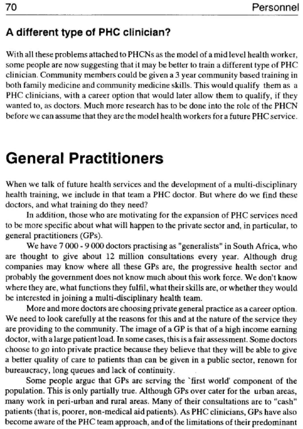#### **A different type of PHC clinician?**

With all these problems attached to PHCNs as the model of a mid level health worker, some people are now suggesting that it may be better to train a different type of PHC clinician. Community members could be given a 3 year community based training in both family medicine and community medicine skills. This would qualify them as a PHC clinicians, with a career option that would later allow them to qualify, if they wanted to, as doctors. Much more research has to be done into the role of the PHCN before we can assume that they are the model health workers for a future PHC service.

### **General Practitioners**

When we talk of future health services and the development of a multi-disciplinary health training, we include in that team a PHC doctor. But where do we find these doctors, and what training do they need?

In addition, those who are motivating for the expansion of PHC services need to be more specific about what will happen to the private sector and, in particular, to general practitioners (GPs).

We have 7 000 - 9 000 doctors practising as "generalists" in South Africa, who are thought to give about 12 million consultations every year. Although drug companies may know where all these GPs are, the progressive health sector and probably the government does not know much about this work force. We don't know where they are, what functions they fulfil, what their skills are, or whether they would be interested in joining a multi-disciplinary health team.

More and more doctors are choosing private general practice as a career option. We need to look carefully at the reasons for this and at the nature of the service they are providing to the community. The image of a GP is that of a high income earning doctor, with a large patient load. In some cases, this is a fair assessment. Some doctors choose to go into private practice because they believe that they will be able to give a better quality of care to patients than can be given in a public sector, renown for bureaucracy, long queues and lack of continuity.

Some people argue that GPs are serving the 'first world' component of the population. This is only partially true. Although GPs over cater for the urban areas, many work in peri-urban and rural areas. Many of their consultations are to "cash" patients (that is, poorer, non-medical aid patients). As PHC clinicians, GPs have also become aware of the PHC team approach, and of the limitations of their predominant